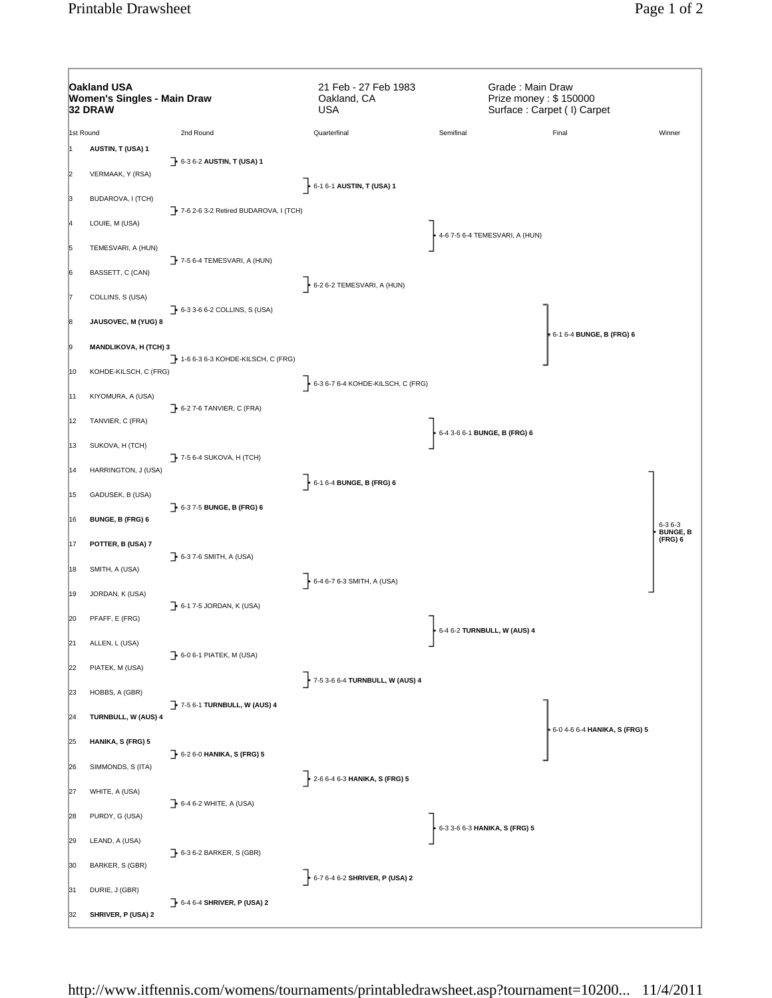